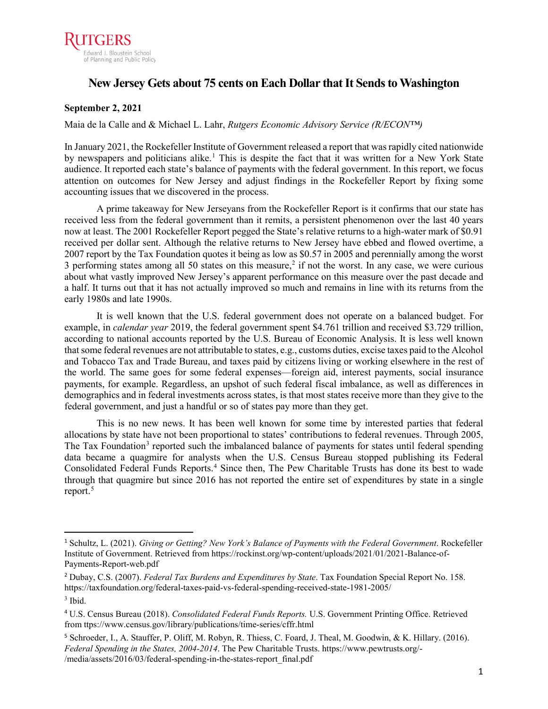

## New Jersey Gets about 75 cents on Each Dollar that It Sends to Washington

### **September 2, 2021**

#### Maia de la Calle and & Michael L. Lahr, *Rutgers Economic Advisory Service (R/ECON™)*

In January 2021, the Rockefeller Institute of Government released a report that was rapidly cited nationwide by newspapers and politicians alike.<sup>[1](#page-0-0)</sup> This is despite the fact that it was written for a New York State audience. It reported each state's balance of payments with the federal government. In this report, we focus attention on outcomes for New Jersey and adjust findings in the Rockefeller Report by fixing some accounting issues that we discovered in the process.

A prime takeaway for New Jerseyans from the Rockefeller Report is it confirms that our state has received less from the federal government than it remits, a persistent phenomenon over the last 40 years now at least. The 2001 Rockefeller Report pegged the State's relative returns to a high-water mark of \$0.91 received per dollar sent. Although the relative returns to New Jersey have ebbed and flowed overtime, a 2007 report by the Tax Foundation quotes it being as low as \$0.57 in 2005 and perennially among the worst 3 performing states among all 50 states on this measure,<sup>2</sup> if not the worst. In any case, we were curious about what vastly improved New Jersey's apparent performance on this measure over the past decade and a half. It turns out that it has not actually improved so much and remains in line with its returns from the early 1980s and late 1990s.

It is well known that the U.S. federal government does not operate on a balanced budget. For example, in *calendar year* 2019, the federal government spent \$4.761 trillion and received \$3.729 trillion, according to national accounts reported by the U.S. Bureau of Economic Analysis. It is less well known that some federal revenues are not attributable to states, e.g., customs duties, excise taxes paid to the Alcohol and Tobacco Tax and Trade Bureau, and taxes paid by citizens living or working elsewhere in the rest of the world. The same goes for some federal expenses—foreign aid, interest payments, social insurance payments, for example. Regardless, an upshot of such federal fiscal imbalance, as well as differences in demographics and in federal investments across states, is that most states receive more than they give to the federal government, and just a handful or so of states pay more than they get.

This is no new news. It has been well known for some time by interested parties that federal allocations by state have not been proportional to states' contributions to federal revenues. Through 2005, The Tax Foundation<sup>3</sup> reported such the imbalanced balance of payments for states until federal spending data became a quagmire for analysts when the U.S. Census Bureau stopped publishing its Federal Consolidated Federal Funds Reports.<sup>[4](#page-0-3)</sup> Since then, The Pew Charitable Trusts has done its best to wade through that quagmire but since 2016 has not reported the entire set of expenditures by state in a single report. [5](#page-0-4)

 $\overline{a}$ 

<span id="page-0-0"></span><sup>1</sup> Schultz, L. (2021). *Giving or Getting? New York's Balance of Payments with the Federal Government*. Rockefeller Institute of Government. Retrieved from https://rockinst.org/wp-content/uploads/2021/01/2021-Balance-of-Payments-Report-web.pdf

<span id="page-0-1"></span><sup>2</sup> Dubay, C.S. (2007). *Federal Tax Burdens and Expenditures by State*. Tax Foundation Special Report No. 158. https://taxfoundation.org/federal-taxes-paid-vs-federal-spending-received-state-1981-2005/

<span id="page-0-2"></span><sup>3</sup> Ibid.

<span id="page-0-3"></span><sup>4</sup> U.S. Census Bureau (2018). *Consolidated Federal Funds Reports.* U.S. Government Printing Office. Retrieved from ttps://www.census.gov/library/publications/time-series/cffr.html

<span id="page-0-4"></span><sup>5</sup> Schroeder, I., A. Stauffer, P. Oliff, M. Robyn, R. Thiess, C. Foard, J. Theal, M. Goodwin, & K. Hillary. (2016). *Federal Spending in the States, 2004-2014*. The Pew Charitable Trusts. https://www.pewtrusts.org/- /media/assets/2016/03/federal-spending-in-the-states-report\_final.pdf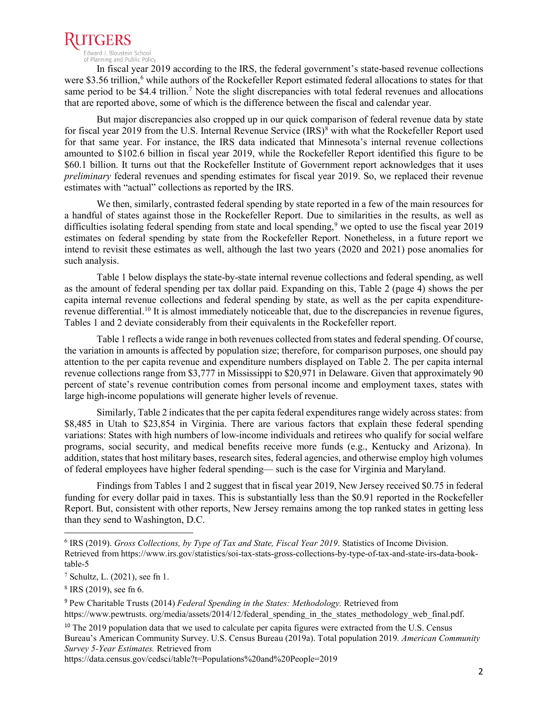

of Planning and Public Policy

In fiscal year 2019 according to the IRS, the federal government's state-based revenue collections were \$3.5[6](#page-1-0) trillion,<sup>6</sup> while authors of the Rockefeller Report estimated federal allocations to states for that same period to be \$4.4 trillion.<sup>[7](#page-1-1)</sup> Note the slight discrepancies with total federal revenues and allocations that are reported above, some of which is the difference between the fiscal and calendar year.

But major discrepancies also cropped up in our quick comparison of federal revenue data by state for fiscal year 2019 from the U.S. Internal Revenue Service (IRS)<sup>[8](#page-1-2)</sup> with what the Rockefeller Report used for that same year. For instance, the IRS data indicated that Minnesota's internal revenue collections amounted to \$102.6 billion in fiscal year 2019, while the Rockefeller Report identified this figure to be \$60.1 billion. It turns out that the Rockefeller Institute of Government report acknowledges that it uses *preliminary* federal revenues and spending estimates for fiscal year 2019. So, we replaced their revenue estimates with "actual" collections as reported by the IRS.

We then, similarly, contrasted federal spending by state reported in a few of the main resources for a handful of states against those in the Rockefeller Report. Due to similarities in the results, as well as difficulties isolating federal spending from state and local spending,<sup>[9](#page-1-3)</sup> we opted to use the fiscal year 2019 estimates on federal spending by state from the Rockefeller Report. Nonetheless, in a future report we intend to revisit these estimates as well, although the last two years (2020 and 2021) pose anomalies for such analysis.

Table 1 below displays the state-by-state internal revenue collections and federal spending, as well as the amount of federal spending per tax dollar paid. Expanding on this, Table 2 (page 4) shows the per capita internal revenue collections and federal spending by state, as well as the per capita expenditure-revenue differential.<sup>[10](#page-1-4)</sup> It is almost immediately noticeable that, due to the discrepancies in revenue figures, Tables 1 and 2 deviate considerably from their equivalents in the Rockefeller report.

Table 1 reflects a wide range in both revenues collected from states and federal spending. Of course, the variation in amounts is affected by population size; therefore, for comparison purposes, one should pay attention to the per capita revenue and expenditure numbers displayed on Table 2. The per capita internal revenue collections range from \$3,777 in Mississippi to \$20,971 in Delaware. Given that approximately 90 percent of state's revenue contribution comes from personal income and employment taxes, states with large high-income populations will generate higher levels of revenue.

Similarly, Table 2 indicates that the per capita federal expenditures range widely across states: from \$8,485 in Utah to \$23,854 in Virginia. There are various factors that explain these federal spending variations: States with high numbers of low-income individuals and retirees who qualify for social welfare programs, social security, and medical benefits receive more funds (e.g., Kentucky and Arizona). In addition, states that host military bases, research sites, federal agencies, and otherwise employ high volumes of federal employees have higher federal spending— such is the case for Virginia and Maryland.

Findings from Tables 1 and 2 suggest that in fiscal year 2019, New Jersey received \$0.75 in federal funding for every dollar paid in taxes. This is substantially less than the \$0.91 reported in the Rockefeller Report. But, consistent with other reports, New Jersey remains among the top ranked states in getting less than they send to Washington, D.C.

<span id="page-1-0"></span> <sup>6</sup> IRS (2019). *Gross Collections, by Type of Tax and State, Fiscal Year 2019*. Statistics of Income Division. Retrieved from https://www.irs.gov/statistics/soi-tax-stats-gross-collections-by-type-of-tax-and-state-irs-data-booktable-5

<span id="page-1-1"></span><sup>7</sup> Schultz, L. (2021), see fn 1.

<span id="page-1-2"></span><sup>8</sup> IRS (2019), see fn 6.

<span id="page-1-3"></span><sup>9</sup> Pew Charitable Trusts (2014) *Federal Spending in the States: Methodology.* Retrieved from https://www.pewtrusts.org/media/assets/2014/12/federal spending in the states methodology web final.pdf.

<span id="page-1-4"></span><sup>&</sup>lt;sup>10</sup> The 2019 population data that we used to calculate per capita figures were extracted from the U.S. Census Bureau's American Community Survey. U.S. Census Bureau (2019a). Total population 2019*. American Community Survey 5-Year Estimates.* Retrieved from

https://data.census.gov/cedsci/table?t=Populations%20and%20People=2019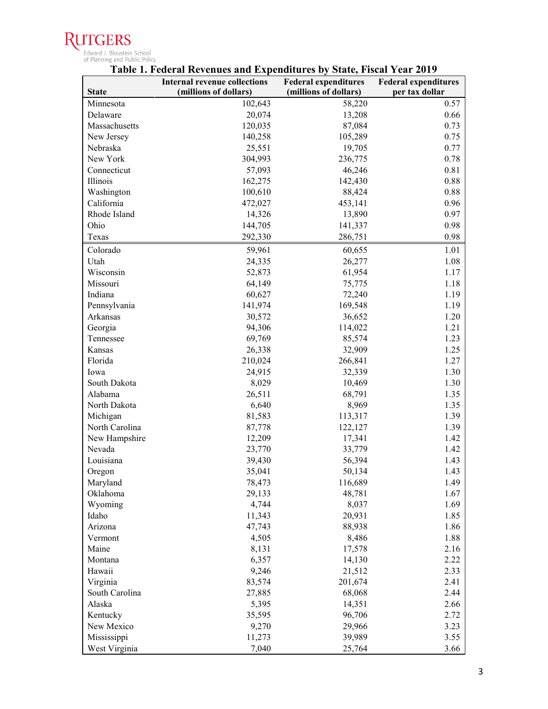

# Edward J. Bloustein School<br>of Planning and Public Policy<br>**Table 1. Federal Revenues and Expenditures by State, Fiscal Year 2019**

|                | <b>Internal revenue collections</b> | <b>Federal expenditures</b> | <b>Federal expenditures</b> |
|----------------|-------------------------------------|-----------------------------|-----------------------------|
| <b>State</b>   | (millions of dollars)               | (millions of dollars)       | per tax dollar              |
| Minnesota      | 102,643                             | 58,220                      | 0.57                        |
| Delaware       | 20,074                              | 13,208                      | 0.66                        |
| Massachusetts  | 120,035                             | 87,084                      | 0.73                        |
| New Jersey     | 140,258                             | 105,289                     | 0.75                        |
| Nebraska       | 25,551                              | 19,705                      | 0.77                        |
| New York       | 304,993                             | 236,775                     | 0.78                        |
| Connecticut    | 57,093                              | 46,246                      | 0.81                        |
| Illinois       | 162,275                             | 142,430                     | 0.88                        |
| Washington     | 100,610                             | 88,424                      | 0.88                        |
| California     | 472,027                             | 453,141                     | 0.96                        |
| Rhode Island   | 14,326                              | 13,890                      | 0.97                        |
| Ohio           | 144,705                             | 141,337                     | 0.98                        |
| Texas          | 292,330                             | 286,751                     | 0.98                        |
| Colorado       | 59,961                              | 60,655                      | 1.01                        |
| Utah           | 24,335                              | 26,277                      | 1.08                        |
| Wisconsin      | 52,873                              | 61,954                      | 1.17                        |
| Missouri       | 64,149                              | 75,775                      | 1.18                        |
| Indiana        | 60,627                              | 72,240                      | 1.19                        |
| Pennsylvania   | 141,974                             | 169,548                     | 1.19                        |
| Arkansas       | 30,572                              | 36,652                      | 1.20                        |
| Georgia        | 94,306                              | 114,022                     | 1.21                        |
| Tennessee      | 69,769                              | 85,574                      | 1.23                        |
| Kansas         | 26,338                              | 32,909                      | 1.25                        |
| Florida        | 210,024                             | 266,841                     | 1.27                        |
| Iowa           | 24,915                              | 32,339                      | 1.30                        |
| South Dakota   | 8,029                               | 10,469                      | 1.30                        |
| Alabama        | 26,511                              | 68,791                      | 1.35                        |
| North Dakota   | 6,640                               | 8,969                       | 1.35                        |
| Michigan       | 81,583                              | 113,317                     | 1.39                        |
| North Carolina | 87,778                              | 122,127                     | 1.39                        |
| New Hampshire  | 12,209                              | 17,341                      | 1.42                        |
| Nevada         | 23,770                              | 33,779                      | 1.42                        |
| Louisiana      | 39,430                              | 56,394                      | 1.43                        |
| Oregon         | 35,041                              | 50,134                      | 1.43                        |
| Maryland       | 78,473                              | 116,689                     | 1.49                        |
| Oklahoma       | 29,133                              | 48,781                      | 1.67                        |
| Wyoming        | 4,744                               | 8,037                       | 1.69                        |
| Idaho          | 11,343                              | 20,931                      | 1.85                        |
| Arizona        | 47,743                              | 88,938                      | 1.86                        |
| Vermont        | 4,505                               | 8,486                       | 1.88                        |
| Maine          | 8,131                               | 17,578                      | 2.16                        |
| Montana        | 6,357                               | 14,130                      | 2.22                        |
| Hawaii         | 9,246                               | 21,512                      | 2.33                        |
| Virginia       | 83,574                              | 201,674                     | 2.41                        |
| South Carolina | 27,885                              | 68,068                      | 2.44                        |
| Alaska         | 5,395                               | 14,351                      | 2.66                        |
| Kentucky       | 35,595                              | 96,706                      | 2.72                        |
| New Mexico     | 9,270                               | 29,966                      | 3.23                        |
| Mississippi    | 11,273                              | 39,989                      | 3.55                        |
| West Virginia  | 7,040                               | 25,764                      | 3.66                        |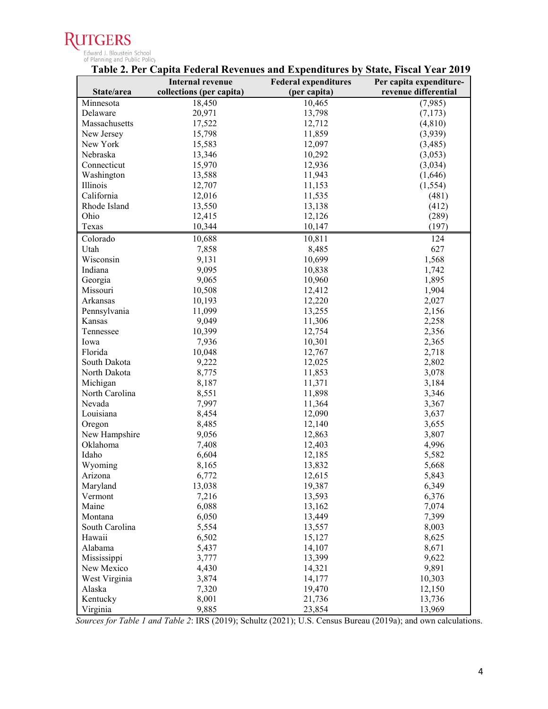#### **RU JTGERS**

|                     | Table 2. Per Capita Federal Revenues and Expenditures by State, Fiscal Year 2019 |                             |                         |
|---------------------|----------------------------------------------------------------------------------|-----------------------------|-------------------------|
|                     | <b>Internal revenue</b>                                                          | <b>Federal expenditures</b> | Per capita expenditure- |
| State/area          | collections (per capita)                                                         | (per capita)                | revenue differential    |
| Minnesota           | 18,450                                                                           | 10,465                      | (7,985)                 |
| Delaware            | 20,971                                                                           | 13,798                      | (7,173)                 |
| Massachusetts       | 17,522                                                                           | 12,712                      | (4, 810)                |
| New Jersey          | 15,798                                                                           | 11,859                      | (3,939)                 |
| New York            | 15,583                                                                           | 12,097                      | (3,485)                 |
| Nebraska            | 13,346                                                                           | 10,292                      | (3,053)                 |
| Connecticut         | 15,970                                                                           | 12,936                      | (3,034)                 |
| Washington          | 13,588                                                                           | 11,943                      | (1,646)                 |
| Illinois            | 12,707                                                                           | 11,153                      | (1, 554)                |
| California          | 12,016                                                                           | 11,535                      | (481)                   |
| Rhode Island        | 13,550                                                                           | 13,138                      | (412)                   |
| Ohio                | 12,415                                                                           | 12,126                      | (289)                   |
| Texas               | 10,344                                                                           | 10,147                      | (197)                   |
| Colorado            | 10,688                                                                           | 10,811                      | 124                     |
| Utah                | 7,858                                                                            | 8,485                       | 627                     |
| Wisconsin           | 9,131                                                                            | 10,699                      | 1,568                   |
| Indiana             | 9,095                                                                            | 10,838                      | 1,742                   |
| Georgia             | 9,065                                                                            | 10,960                      | 1,895                   |
| Missouri            | 10,508                                                                           | 12,412                      | 1,904                   |
| Arkansas            | 10,193                                                                           | 12,220                      | 2,027                   |
| Pennsylvania        | 11,099                                                                           | 13,255                      | 2,156                   |
| Kansas              | 9,049                                                                            | 11,306                      | 2,258                   |
| Tennessee           | 10,399                                                                           | 12,754                      | 2,356                   |
| Iowa                | 7,936                                                                            | 10,301                      | 2,365                   |
| Florida             | 10,048                                                                           | 12,767                      | 2,718                   |
| South Dakota        | 9,222                                                                            | 12,025                      | 2,802                   |
| North Dakota        | 8,775                                                                            | 11,853                      | 3,078                   |
| Michigan            | 8,187                                                                            | 11,371                      | 3,184                   |
| North Carolina      | 8,551                                                                            | 11,898                      | 3,346                   |
| Nevada              | 7,997                                                                            | 11,364                      | 3,367                   |
| Louisiana           | 8,454                                                                            | 12,090                      | 3,637                   |
| Oregon              | 8,485                                                                            | 12,140                      | 3,655                   |
| New Hampshire       | 9,056                                                                            | 12,863                      | 3,807                   |
| Oklahoma            | 7,408                                                                            | 12,403                      | 4,996                   |
| Idaho               | 6,604                                                                            | 12,185                      | 5,582                   |
|                     | 8,165                                                                            |                             | 5,668                   |
| Wyoming             | 6,772                                                                            | 13,832                      | 5,843                   |
| Arizona<br>Maryland | 13,038                                                                           | 12,615<br>19,387            | 6,349                   |
|                     | 7,216                                                                            | 13,593                      |                         |
| Vermont             |                                                                                  |                             | 6,376                   |
| Maine               | 6,088                                                                            | 13,162                      | 7,074                   |
| Montana             | 6,050                                                                            | 13,449                      | 7,399                   |
| South Carolina      | 5,554                                                                            | 13,557                      | 8,003                   |
| Hawaii              | 6,502                                                                            | 15,127                      | 8,625                   |
| Alabama             | 5,437                                                                            | 14,107                      | 8,671                   |
| Mississippi         | 3,777                                                                            | 13,399                      | 9,622                   |
| New Mexico          | 4,430                                                                            | 14,321                      | 9,891                   |
| West Virginia       | 3,874                                                                            | 14,177                      | 10,303                  |
| Alaska              | 7,320                                                                            | 19,470                      | 12,150                  |
| Kentucky            | 8,001                                                                            | 21,736                      | 13,736                  |
| Virginia            | 9,885                                                                            | 23,854                      | 13,969                  |

 *Sources for Table 1 and Table 2*: IRS (2019); Schultz (2021); U.S. Census Bureau (2019a); and own calculations.